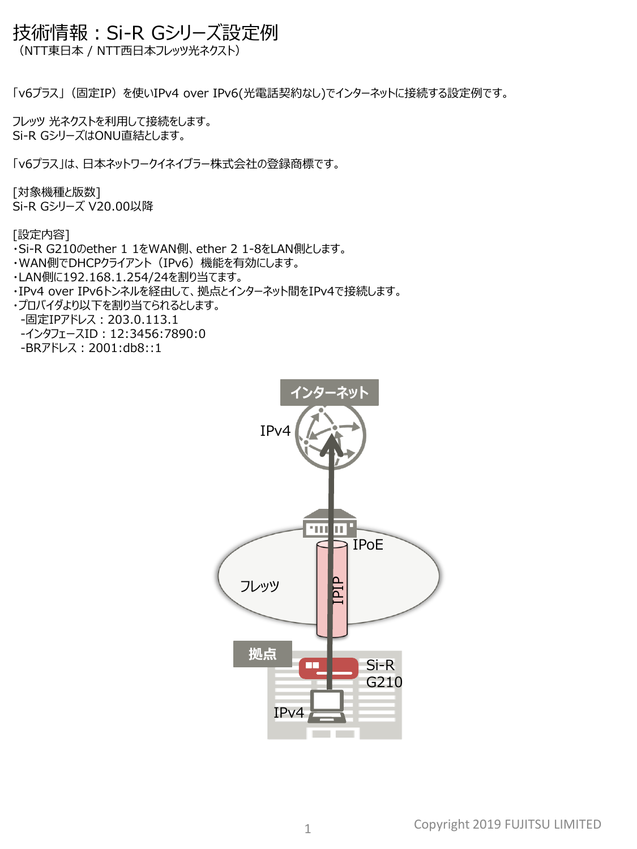## 技術情報:Si-R Gシリーズ設定例

(NTT東日本 / NTT西日本フレッツ光ネクスト)

「v6プラス」(固定IP)を使いIPv4 over IPv6(光電話契約なし)でインターネットに接続する設定例です。

フレッツ 光ネクストを利用して接続をします。 Si-R GシリーズはONU直結とします。

「v6プラス」は、日本ネットワークイネイブラー株式会社の登録商標です。

[対象機種と版数] Si-R Gシリーズ V20.00以降

[設定内容]

- ・Si-R G210のether 1 1をWAN側、ether 2 1-8をLAN側とします。
- ・WAN側でDHCPクライアント(IPv6)機能を有効にします。
- ・LAN側に192.168.1.254/24を割り当てます。
- ・IPv4 over IPv6トンネルを経由して、拠点とインターネット間をIPv4で接続します。
- ・プロバイダより以下を割り当てられるとします。

-固定IPアドレス:203.0.113.1

- -インタフェースID: 12:3456:7890:0
- -BRアドレス:2001:db8::1

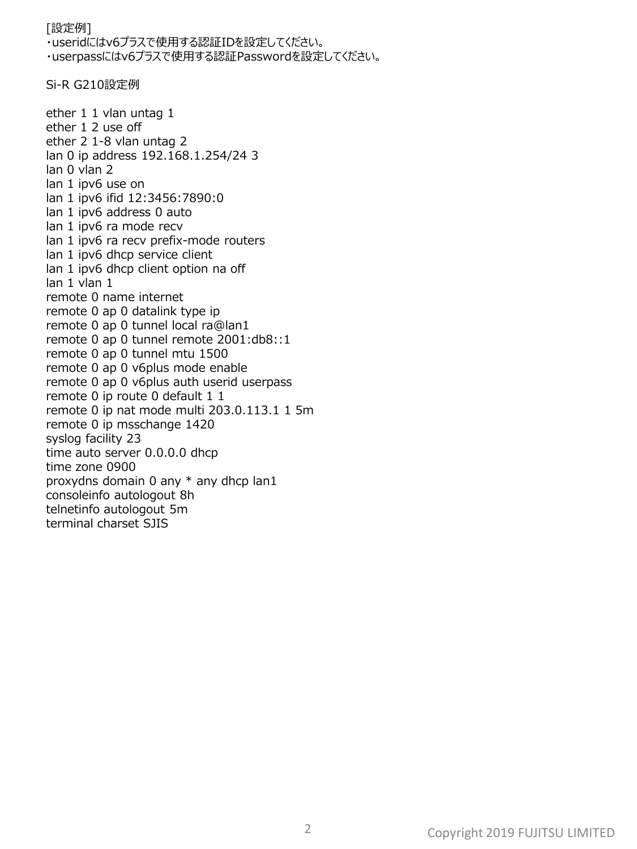## [設定例] ・useridにはv6プラスで使用する認証IDを設定してください。 ・userpassにはv6プラスで使用する認証Passwordを設定してください。

Si-R G210設定例

ether 1 1 vlan untag 1 ether 1 2 use off ether 2 1-8 vlan untag 2 lan 0 ip address 192.168.1.254/24 3 lan 0 vlan 2 lan 1 ipv6 use on lan 1 ipv6 ifid 12:3456:7890:0 lan 1 ipv6 address 0 auto lan 1 ipv6 ra mode recv lan 1 ipv6 ra recv prefix-mode routers lan 1 ipv6 dhcp service client lan 1 ipv6 dhcp client option na off lan 1 vlan 1 remote 0 name internet remote 0 ap 0 datalink type ip remote 0 ap 0 tunnel local ra@lan1 remote 0 ap 0 tunnel remote 2001:db8::1 remote 0 ap 0 tunnel mtu 1500 remote 0 ap 0 v6plus mode enable remote 0 ap 0 v6plus auth userid userpass remote 0 ip route 0 default 1 1 remote 0 ip nat mode multi 203.0.113.1 1 5m remote 0 ip msschange 1420 syslog facility 23 time auto server 0.0.0.0 dhcp time zone 0900 proxydns domain 0 any \* any dhcp lan1 consoleinfo autologout 8h telnetinfo autologout 5m terminal charset SJIS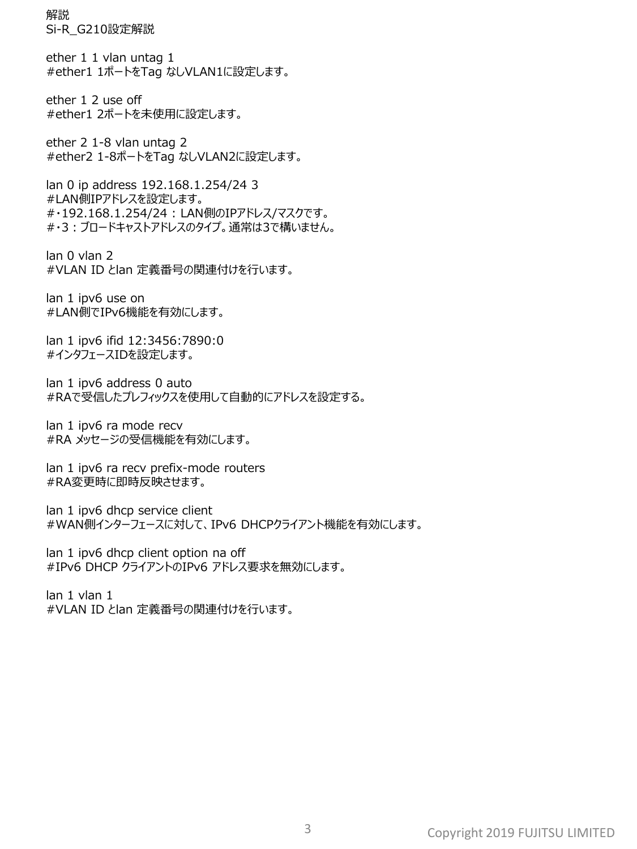解説 Si-R\_G210設定解説

ether 1 1 vlan untag 1 #ether1 1ポートをTag なしVLAN1に設定します。

ether 1 2 use off #ether1 2ポートを未使用に設定します。

ether 2 1-8 vlan untag 2 #ether2 1-8ポートをTag なしVLAN2に設定します。

lan 0 ip address 192.168.1.254/24 3 #LAN側IPアドレスを設定します。 #・192.168.1.254/24 : LAN側のIPアドレス/マスクです。 #・3:ブロードキャストアドレスのタイプ。通常は3で構いません。

lan 0 vlan 2 #VLAN ID とlan 定義番号の関連付けを行います。

lan 1 ipv6 use on #LAN側でIPv6機能を有効にします。

lan 1 ipv6 ifid 12:3456:7890:0 #インタフェースIDを設定します。

lan 1 ipv6 address 0 auto #RAで受信したプレフィックスを使用して自動的にアドレスを設定する。

lan 1 ipv6 ra mode recv #RA メッセージの受信機能を有効にします。

lan 1 ipv6 ra recv prefix-mode routers #RA変更時に即時反映させます。

lan 1 ipv6 dhcp service client #WAN側インターフェースに対して、IPv6 DHCPクライアント機能を有効にします。

lan 1 ipv6 dhcp client option na off #IPv6 DHCP クライアントのIPv6 アドレス要求を無効にします。

lan 1 vlan 1 #VLAN ID とlan 定義番号の関連付けを行います。